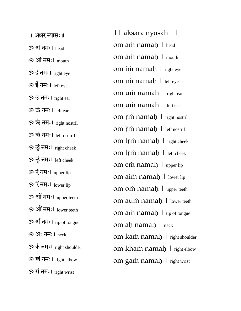॥ अक्षर न्यासः॥  $\ddot{\mathbf{3}}$  $\ddot{\mathbf{3}}$  अं नमः। head ॐ आंनमः। mouth  $30$  इं नमः।  $right eve$ ॐ ईं नमः। left eye ॐ उंनमः। right ear ॐ ऊं नमः। left ear ॐ ऋं नमः। right nostril ॐ ॠं नमः। left nostril ॐ लृं नमः। right cheek ॐ लॄं नमः। left cheek ॐ एंनमः। upper lip ॐ ऐंनमः। lower lip ॐ ओंनमः। upper teeth ॐ औं नमः। lower teeth ॐ अँ नमः। tip of tongue ॐ अः नमः। neck ॐ कं नमः। right shoulder ॐ खंनमः। right elbow ॐ गं नमः। right wrist

|| akṣara nyāsaḥ || om aṁ namaḥ | head om āṁ namaḥ | mouth om iṁ namaḥ | right eye om īṁ namaḥ | left eye om uṁ namaḥ | right ear om ūṁ namaḥ | left ear om ṛṁ namaḥ | right nostril om r̃m namaḥ | left nostril om lṛṁ namaḥ | right cheek om lr̃m namaḥ | left cheek om em namah | upper lip om aim namah | lower lip om om namah | upper teeth om auṁ namaḥ | lower teeth om am namah  $\mid$  tip of tongue om aḥ namaḥ | neck om kaṁ namaḥ | right shoulder om khaṁ namaḥ | right elbow om gam namaḥ | right wrist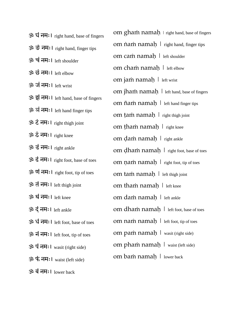| ॐ घं नमः । right hand, base of fingers |
|----------------------------------------|
| ॐ ङं नमः। right hand, finger tips      |
| ॐ चं नमः। left shoulder                |
| ॐ छं नमः। left elbow                   |
| ॐ जं नमः। left wrist                   |
| ॐ झं नमः। left hand, base of fingers   |
| ॐ ञं नमः। left hand finger tips        |
| ॐ टं नमः। right thigh joint            |
| ॐ ठं नमः। right knee                   |
| ॐ डं नमः। right ankle                  |
| ॐ ढं नमः। right foot, base of toes     |
| ॐ णं नमः। right foot, tip of toes      |
| ॐ तं नमः। left thigh joint             |
| ॐ थं नमः। left knee                    |
| ॐ दं नमः। left ankle                   |
| ॐ धं नमः। left foot, base of toes      |
| ॐ नं नमः। left foot, tip of toes       |
| ॐ पं नमः। wasit (right side)           |
| ॐ फं नमः। waist (left side)            |
| ॐ बं नमः। lower back                   |

om gham namah  $\vert$  right hand, base of fingers om  $\hat{n}$ a $\hat{n}$  nama $\hat{n}$  | right hand, finger tips om caṁ namaḥ | left shoulder om chaṁ namaḥ | left elbow om jam namah | left wrist om jham namah | left hand, base of fingers om ñam namah | left hand finger tips om ṭaṁ namaḥ | right thigh joint om ṭhaṁ namaḥ | right knee om ḍaṁ namaḥ | right ankle om ḍhaṁ namaḥ | right foot, base of toes om nam namah  $\mid$  right foot, tip of toes om tam namah | left thigh joint om tham namah | left knee om dam namah | left ankle om dham namah | left foot, base of toes om nam namah | left foot, tip of toes om paṁ namaḥ | wasit (right side) om phaṁ namaḥ | waist (left side) om bam namah | lower back